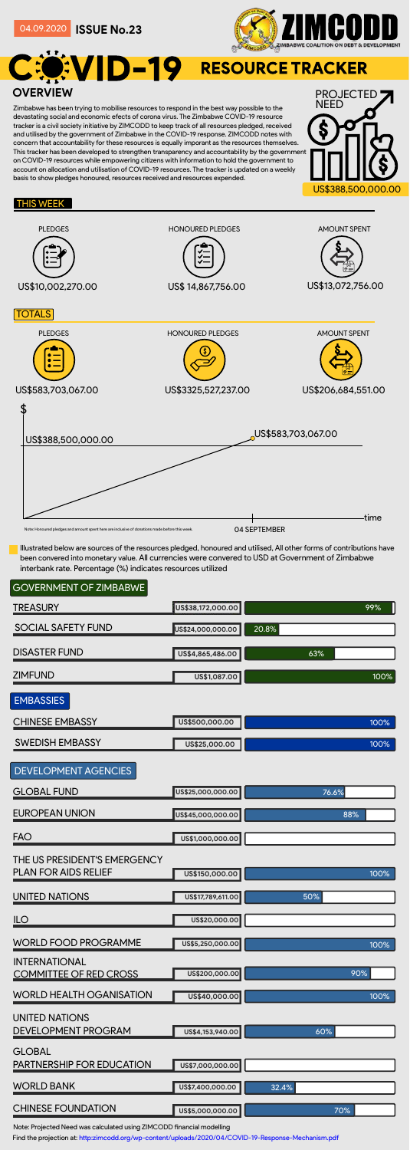Illustrated below are sources of the resources pledged, honoured and utilised, All other forms of contributions have been convered into monetary value. All currencies were convered to USD at Government of Zimbabwe interbank rate. Percentage (%) indicates resources utilized

### GOVERNMENT OF ZIMBABWE

**TREASURY** 

**US\$38,172,000.00**



#### THIS WEEK

| <b>SOCIAL SAFETY FUND</b>                                   | US\$24,000,000.00 | 20.8% |
|-------------------------------------------------------------|-------------------|-------|
| <b>DISASTER FUND</b>                                        | US\$4,865,486.00  | 63%   |
| <b>ZIMFUND</b>                                              | US\$1,087.00      | 100%  |
| <b>EMBASSIES</b>                                            |                   |       |
| <b>CHINESE EMBASSY</b>                                      | US\$500,000.00    | 100%  |
| <b>SWEDISH EMBASSY</b>                                      | US\$25,000.00     | 100%  |
| <b>DEVELOPMENT AGENCIES</b>                                 |                   |       |
| <b>GLOBAL FUND</b>                                          | US\$25,000,000.00 | 76.6% |
| <b>EUROPEAN UNION</b>                                       | US\$45,000,000.00 | 88%   |
| <b>FAO</b>                                                  | US\$1,000,000.00  |       |
| THE US PRESIDENT'S EMERGENCY<br><b>PLAN FOR AIDS RELIEF</b> | US\$150,000.00    | 100%  |
| <b>UNITED NATIONS</b>                                       | US\$17,789,611.00 | 50%   |
| <b>ILO</b>                                                  | US\$20,000.00     |       |
| <b>WORLD FOOD PROGRAMME</b>                                 | US\$5,250,000.00  | 100%  |
| <b>INTERNATIONAL</b><br><b>COMMITTEE OF RED CROSS</b>       | US\$200,000.00    | 90%   |
| <b>WORLD HEALTH OGANISATION</b>                             | US\$40,000.00     | 100%  |
| UNITED NATIONS<br><b>DEVELOPMENT PROGRAM</b>                | US\$4,153,940.00  | 60%   |
| <b>GLOBAL</b><br><b>PARTNERSHIP FOR EDUCATION</b>           | US\$7,000,000.00  |       |
| <b>WORLD BANK</b>                                           | US\$7,400,000.00  | 32.4% |
| <b>CHINESE FOUNDATION</b>                                   | US\$5,000,000.00  | 70%   |

Note: Projected Need was calculated using ZIMCODD financial modelling

Find the projection at: http:zimcodd.org/wp-content/uploads/2020/04/COVID-19-Response-Mechanism.pdf

Zimbabwe has been trying to mobilise resources to respond in the best way possible to the devastating social and economic efects of corona virus. The Zimbabwe COVID-19 resource tracker is a civil society initiative by ZIMCODD to keep track of all resources pledged, received and utilised by the government of Zimbabwe in the COVID-19 response. ZIMCODD notes with concern that accountability for these resources is equally imporant as the resources themselves. This tracker has been developed to strengthen transparency and accountability by the government on COVID-19 resources while empowering citizens with information to hold the government to account on allocation and utilisation of COVID-19 resources. The tracker is updated on a weekly basis to show pledges honoured, resources received and resources expended.

**ISSUE No.23** 04.09.2020



# EVID-19 RESOURCE TRACKER